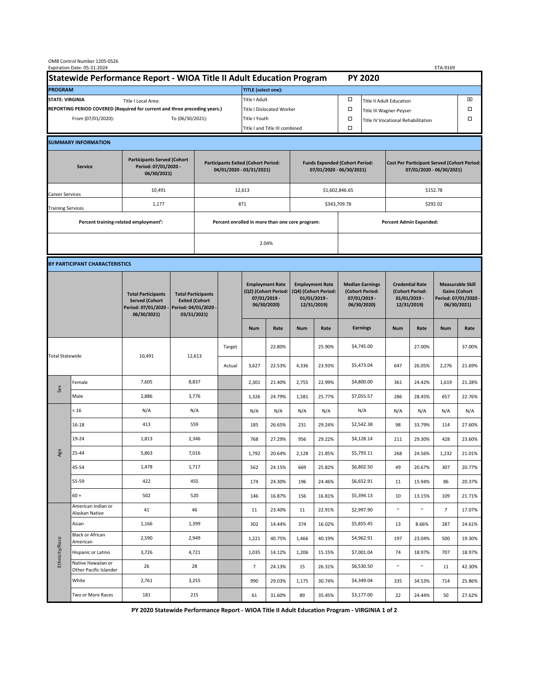| OMB Control Number 1205-0526<br>Expiration Date: 05-31-2024<br>ETA-9169                     |                                                    |                                                                                           |                                                 |                                                                                           |        |                                                                               |        |                                                                                 |        |                                                                            |                                                                                |                                                                            |          |                                                                                        |        |  |
|---------------------------------------------------------------------------------------------|----------------------------------------------------|-------------------------------------------------------------------------------------------|-------------------------------------------------|-------------------------------------------------------------------------------------------|--------|-------------------------------------------------------------------------------|--------|---------------------------------------------------------------------------------|--------|----------------------------------------------------------------------------|--------------------------------------------------------------------------------|----------------------------------------------------------------------------|----------|----------------------------------------------------------------------------------------|--------|--|
| Statewide Performance Report - WIOA Title II Adult Education Program                        |                                                    |                                                                                           |                                                 |                                                                                           |        |                                                                               |        |                                                                                 |        |                                                                            | <b>PY 2020</b>                                                                 |                                                                            |          |                                                                                        |        |  |
| <b>PROGRAM</b>                                                                              |                                                    |                                                                                           |                                                 |                                                                                           |        | <b>TITLE</b> (select one):                                                    |        |                                                                                 |        |                                                                            |                                                                                |                                                                            |          |                                                                                        |        |  |
| <b>STATE: VIRGINIA</b><br>Title I Local Area:                                               |                                                    |                                                                                           |                                                 |                                                                                           |        | Title I Adult                                                                 |        |                                                                                 |        | □<br><b>Title II Adult Education</b>                                       |                                                                                |                                                                            |          |                                                                                        | ⊠      |  |
| REPORTING PERIOD COVERED (Required for current and three preceding years.)                  |                                                    |                                                                                           |                                                 |                                                                                           |        | Title I Dislocated Worker                                                     |        |                                                                                 |        | Ω                                                                          | □<br>Title III Wagner-Peyser                                                   |                                                                            |          |                                                                                        |        |  |
| To (06/30/2021):<br>From (07/01/2020):                                                      |                                                    |                                                                                           |                                                 | Title I Youth                                                                             |        |                                                                               |        |                                                                                 | $\Box$ | Title IV Vocational Rehabilitation                                         |                                                                                |                                                                            |          | □                                                                                      |        |  |
|                                                                                             |                                                    |                                                                                           |                                                 |                                                                                           |        | Title I and Title III combined                                                |        |                                                                                 |        | Ω                                                                          |                                                                                |                                                                            |          |                                                                                        |        |  |
|                                                                                             | <b>SUMMARY INFORMATION</b>                         |                                                                                           |                                                 |                                                                                           |        |                                                                               |        |                                                                                 |        |                                                                            |                                                                                |                                                                            |          |                                                                                        |        |  |
| <b>Participants Served (Cohort</b><br>Period: 07/01/2020 -<br><b>Service</b><br>06/30/2021) |                                                    |                                                                                           |                                                 | <b>Participants Exited (Cohort Period:</b><br>04/01/2020 - 03/31/2021)                    |        |                                                                               |        | <b>Funds Expended (Cohort Period:</b><br>07/01/2020 - 06/30/2021)               |        |                                                                            | <b>Cost Per Participant Served (Cohort Period:</b><br>07/01/2020 - 06/30/2021) |                                                                            |          |                                                                                        |        |  |
| Career Services                                                                             |                                                    | 10,491                                                                                    |                                                 |                                                                                           |        | 12,613                                                                        |        |                                                                                 |        | \$1,602,846.65                                                             |                                                                                | \$152.78                                                                   |          |                                                                                        |        |  |
| <b>Training Services</b>                                                                    |                                                    | 1,177                                                                                     |                                                 | 871                                                                                       |        |                                                                               |        |                                                                                 |        |                                                                            | \$343,709.78                                                                   |                                                                            | \$292.02 |                                                                                        |        |  |
|                                                                                             | Percent training-related employment <sup>1</sup> : |                                                                                           | Percent enrolled in more than one core program: |                                                                                           |        |                                                                               |        |                                                                                 |        |                                                                            | <b>Percent Admin Expended:</b>                                                 |                                                                            |          |                                                                                        |        |  |
|                                                                                             |                                                    |                                                                                           |                                                 |                                                                                           |        | 2.04%                                                                         |        |                                                                                 |        |                                                                            |                                                                                |                                                                            |          |                                                                                        |        |  |
|                                                                                             |                                                    |                                                                                           |                                                 |                                                                                           |        |                                                                               |        |                                                                                 |        |                                                                            |                                                                                |                                                                            |          |                                                                                        |        |  |
|                                                                                             | BY PARTICIPANT CHARACTERISTICS                     |                                                                                           |                                                 |                                                                                           |        |                                                                               |        |                                                                                 |        |                                                                            |                                                                                |                                                                            |          |                                                                                        |        |  |
|                                                                                             |                                                    | <b>Total Participants</b><br><b>Served (Cohort</b><br>Period: 07/01/2020 -<br>06/30/2021) |                                                 | <b>Total Participants</b><br><b>Exited (Cohort</b><br>Period: 04/01/2020 -<br>03/31/2021) |        | <b>Employment Rate</b><br>(Q2) (Cohort Period:<br>07/01/2019 -<br>06/30/2020) |        | <b>Employment Rate</b><br>(Q4) (Cohort Period:<br>$01/01/2019$ -<br>12/31/2019) |        | <b>Median Earnings</b><br>(Cohort Period:<br>$07/01/2019 -$<br>06/30/2020) |                                                                                | <b>Credential Rate</b><br>(Cohort Period:<br>$01/01/2019$ -<br>12/31/2019) |          | <b>Measurable Skill</b><br><b>Gains (Cohort</b><br>Period: 07/01/2020 -<br>06/30/2021) |        |  |
|                                                                                             |                                                    |                                                                                           |                                                 |                                                                                           |        | <b>Num</b>                                                                    | Rate   | <b>Num</b>                                                                      | Rate   |                                                                            | <b>Earnings</b>                                                                | <b>Num</b>                                                                 | Rate     | <b>Num</b>                                                                             | Rate   |  |
| <b>Total Statewide</b>                                                                      |                                                    |                                                                                           | 12,613<br>10,491                                |                                                                                           | Target |                                                                               | 22.80% |                                                                                 | 25.90% |                                                                            | \$4,745.00                                                                     |                                                                            | 27.00%   |                                                                                        | 37.00% |  |
|                                                                                             |                                                    |                                                                                           |                                                 |                                                                                           | Actual | 3,627                                                                         | 22.53% | 4,336                                                                           | 23.93% |                                                                            | \$5,473.04                                                                     | 647                                                                        | 26.05%   | 2,276                                                                                  | 21.69% |  |
| Sex                                                                                         | Female                                             | 7,605                                                                                     | 8,837                                           |                                                                                           |        | 2,301                                                                         | 21.40% | 2,755                                                                           | 22.99% |                                                                            | \$4,800.00                                                                     | 361                                                                        | 24.42%   | 1,619                                                                                  | 21.28% |  |
|                                                                                             | Male                                               | 2,886                                                                                     | 3,776                                           |                                                                                           |        | 1,326                                                                         | 24.79% | 1,581                                                                           | 25.77% |                                                                            | \$7,055.57                                                                     | 286                                                                        | 28.45%   | 657                                                                                    | 22.76% |  |
| Age                                                                                         | < 16                                               | N/A                                                                                       | N/A                                             |                                                                                           |        | N/A                                                                           | N/A    | N/A                                                                             | N/A    |                                                                            | N/A                                                                            | N/A                                                                        | N/A      | N/A                                                                                    | N/A    |  |
|                                                                                             | $16 - 18$                                          | 413                                                                                       | 559                                             |                                                                                           |        | 185                                                                           | 26.65% | 231                                                                             | 29.24% |                                                                            | \$2,542.38                                                                     | 98                                                                         | 33.79%   | 114                                                                                    | 27.60% |  |
|                                                                                             | 19-24                                              | 1,813                                                                                     | 2,346                                           |                                                                                           |        | 768                                                                           | 27.29% | 956                                                                             | 29.22% |                                                                            | \$4,128.14                                                                     | 211                                                                        | 29.30%   | 428                                                                                    | 23.60% |  |
|                                                                                             | 25-44                                              | 5,863                                                                                     | 7,016                                           |                                                                                           |        | 1,792                                                                         | 20.64% | 2,128                                                                           | 21.85% |                                                                            | \$5,793.11                                                                     | 268                                                                        | 24.56%   | 1,232                                                                                  | 21.01% |  |
|                                                                                             | 45-54                                              | 1,478                                                                                     | 1,717                                           |                                                                                           |        | 562                                                                           | 24.15% | 669                                                                             | 25.82% |                                                                            | \$6,802.50                                                                     | 49                                                                         | 20.67%   | 307                                                                                    | 20.77% |  |
|                                                                                             | 55-59                                              | 422                                                                                       | 455                                             |                                                                                           |        | 174                                                                           | 24.30% | 196                                                                             | 24.46% |                                                                            | \$6,652.91                                                                     | 11                                                                         | 15.94%   | 86                                                                                     | 20.37% |  |
|                                                                                             | $60 +$                                             | 502                                                                                       | 520                                             |                                                                                           |        | 146                                                                           | 16.87% | 156                                                                             | 16.81% |                                                                            | \$5,394.13                                                                     | 10                                                                         | 13.15%   | 109                                                                                    | 21.71% |  |
| Ethnicity/Race                                                                              | American Indian or<br>Alaskan Native               | 41                                                                                        | 46                                              |                                                                                           |        | 11                                                                            | 23.40% | 11                                                                              | 22.91% |                                                                            | \$2,997.90                                                                     | $\sim$                                                                     | $\sim$   | $7\overline{ }$                                                                        | 17.07% |  |
|                                                                                             | Asian                                              | 1,166                                                                                     | 1,399                                           |                                                                                           |        | 302                                                                           | 14.44% | 374                                                                             | 16.02% |                                                                            | \$5,855.45                                                                     | 13                                                                         | 8.66%    | 287                                                                                    | 24.61% |  |
|                                                                                             | <b>Black or African</b><br>American                | 2,590                                                                                     | 2,949                                           |                                                                                           |        | 1,221                                                                         | 40.75% | 1,466                                                                           | 40.19% |                                                                            | \$4,962.91                                                                     | 197                                                                        | 23.04%   | 500                                                                                    | 19.30% |  |
|                                                                                             | Hispanic or Latino                                 | 3,726                                                                                     | 4,721                                           |                                                                                           |        | 1,035                                                                         | 14.12% | 1,206                                                                           | 15.15% |                                                                            | \$7,001.04                                                                     | 74                                                                         | 18.97%   | 707                                                                                    | 18.97% |  |
|                                                                                             | Native Hawaiian or<br>Other Pacific Islander       | 26                                                                                        | 28                                              |                                                                                           |        | $\overline{7}$                                                                | 24.13% | 15                                                                              | 26.31% |                                                                            | \$6,530.50                                                                     | $\sim$                                                                     | $\sim$   | 11                                                                                     | 42.30% |  |
|                                                                                             | White                                              | 2,761                                                                                     | 3,255                                           |                                                                                           |        | 990                                                                           | 29.03% | 1,175                                                                           | 30.74% |                                                                            | \$4,349.04                                                                     | 335                                                                        | 34.53%   | 714                                                                                    | 25.86% |  |
|                                                                                             | Two or More Races                                  | 181                                                                                       | 215                                             |                                                                                           |        | 61                                                                            | 31.60% | 89                                                                              | 35.45% |                                                                            | \$3,177.00                                                                     | 22                                                                         | 24.44%   | 50                                                                                     | 27.62% |  |

**PY 2020 Statewide Performance Report - WIOA Title II Adult Education Program - VIRGINIA 1 of 2**